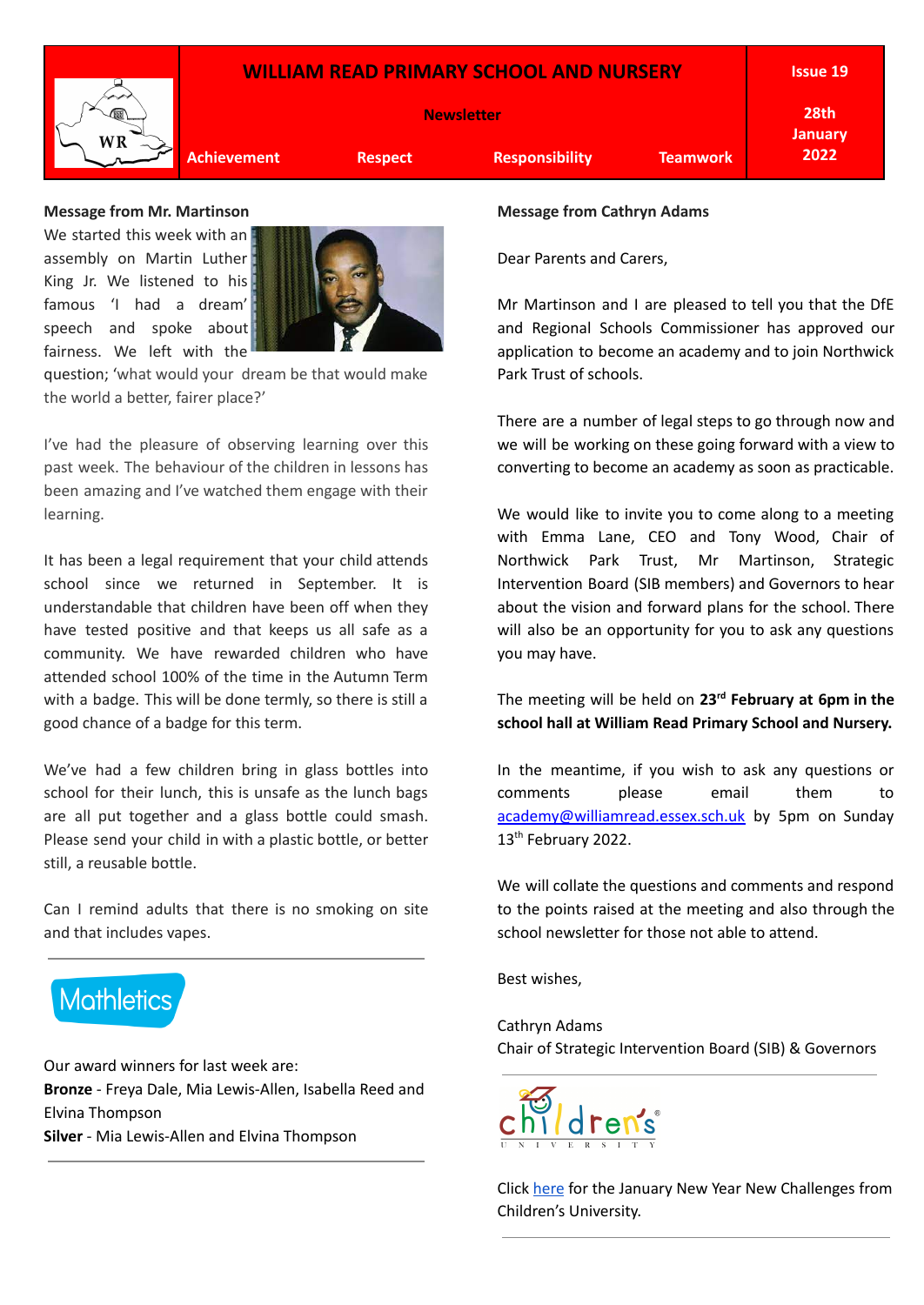## **WILLIAM READ PRIMARY SCHOOL AND NURSERY Newsletter Achievement Respect Responsibility Teamwork Issue 19 28th January 2022**

# **Message from Mr. Martinson**

We started this week with an assembly on Martin Luther King Jr. We listened to his famous 'I had a dream' speech and spoke about fairness. We left with the



question; 'what would your dream be that would make the world a better, fairer place?'

I've had the pleasure of observing learning over this past week. The behaviour of the children in lessons has been amazing and I've watched them engage with their learning.

It has been a legal requirement that your child attends school since we returned in September. It is understandable that children have been off when they have tested positive and that keeps us all safe as a community. We have rewarded children who have attended school 100% of the time in the Autumn Term with a badge. This will be done termly, so there is still a good chance of a badge for this term.

We've had a few children bring in glass bottles into school for their lunch, this is unsafe as the lunch bags are all put together and a glass bottle could smash. Please send your child in with a plastic bottle, or better still, a reusable bottle.

Can I remind adults that there is no smoking on site and that includes vapes.



Our award winners for last week are: **Bronze** - Freya Dale, Mia Lewis-Allen, Isabella Reed and Elvina Thompson **Silver** - Mia Lewis-Allen and Elvina Thompson

#### **Message from Cathryn Adams**

Dear Parents and Carers,

Mr Martinson and I are pleased to tell you that the DfE and Regional Schools Commissioner has approved our application to become an academy and to join Northwick Park Trust of schools.

There are a number of legal steps to go through now and we will be working on these going forward with a view to converting to become an academy as soon as practicable.

We would like to invite you to come along to a meeting with Emma Lane, CEO and Tony Wood, Chair of Northwick Park Trust, Mr Martinson, Strategic Intervention Board (SIB members) and Governors to hear about the vision and forward plans for the school. There will also be an opportunity for you to ask any questions you may have.

The meeting will be held on **23 rd February at 6pm in the school hall at William Read Primary School and Nursery.**

In the meantime, if you wish to ask any questions or comments please email them to [academy@williamread.essex.sch.uk](mailto:academy@williamread.essex.sch.uk) by 5pm on Sunday 13<sup>th</sup> February 2022.

We will collate the questions and comments and respond to the points raised at the meeting and also through the school newsletter for those not able to attend.

Best wishes,

Cathryn Adams Chair of Strategic Intervention Board (SIB) & Governors



Click [here](http://essexchildrensuniversity.co.uk/assets/Uploads/New-Year-New-Challenges-January-2022.pdf) for the January New Year New Challenges from Children's University.